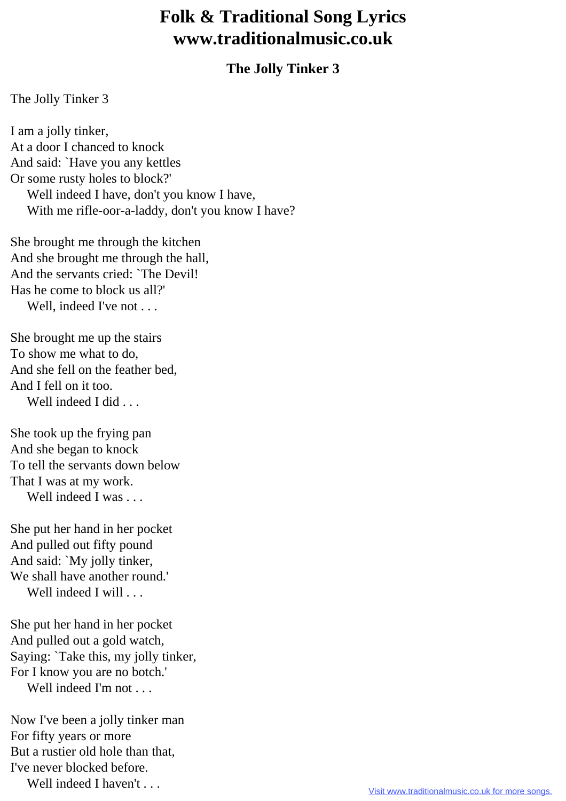## **Folk & Traditional Song Lyrics www.traditionalmusic.co.uk**

## **The Jolly Tinker 3**

The Jolly Tinker 3

I am a jolly tinker, At a door I chanced to knock And said: `Have you any kettles Or some rusty holes to block?' Well indeed I have, don't you know I have, With me rifle-oor-a-laddy, don't you know I have?

She brought me through the kitchen And she brought me through the hall, And the servants cried: `The Devil! Has he come to block us all?' Well, indeed I've not . . .

She brought me up the stairs To show me what to do, And she fell on the feather bed, And I fell on it too. Well indeed I did . . .

She took up the frying pan And she began to knock To tell the servants down below That I was at my work. Well indeed I was . . .

She put her hand in her pocket And pulled out fifty pound And said: `My jolly tinker, We shall have another round.' Well indeed I will . . .

She put her hand in her pocket And pulled out a gold watch, Saying: `Take this, my jolly tinker, For I know you are no botch.' Well indeed I'm not . . .

Now I've been a jolly tinker man For fifty years or more But a rustier old hole than that, I've never blocked before. Well indeed I haven't . . .